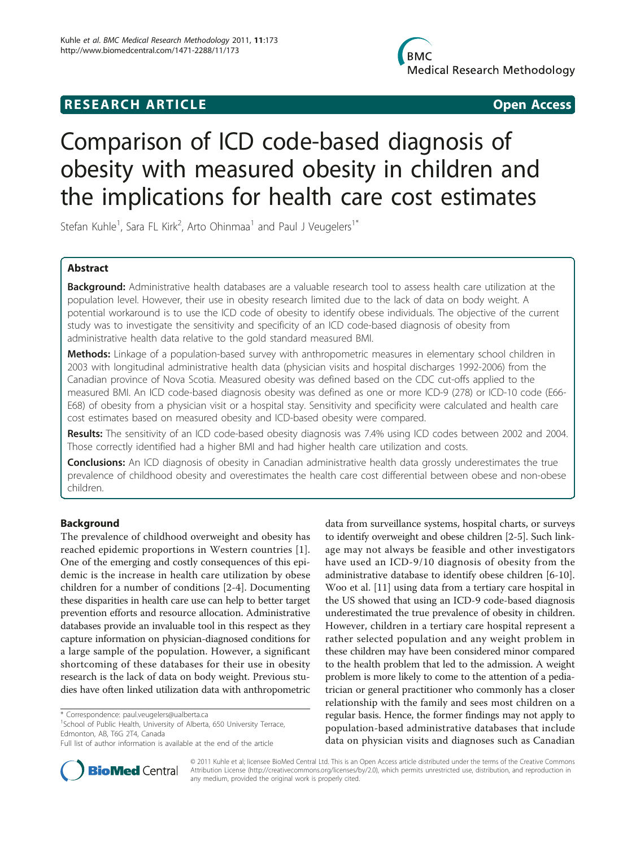# **RESEARCH ARTICLE Example 2018 CONSIDERING ACCESS**

# Comparison of ICD code-based diagnosis of obesity with measured obesity in children and the implications for health care cost estimates

Stefan Kuhle<sup>1</sup>, Sara FL Kirk<sup>2</sup>, Arto Ohinmaa<sup>1</sup> and Paul J Veugelers<sup>1\*</sup>

# Abstract

Background: Administrative health databases are a valuable research tool to assess health care utilization at the population level. However, their use in obesity research limited due to the lack of data on body weight. A potential workaround is to use the ICD code of obesity to identify obese individuals. The objective of the current study was to investigate the sensitivity and specificity of an ICD code-based diagnosis of obesity from administrative health data relative to the gold standard measured BMI.

Methods: Linkage of a population-based survey with anthropometric measures in elementary school children in 2003 with longitudinal administrative health data (physician visits and hospital discharges 1992-2006) from the Canadian province of Nova Scotia. Measured obesity was defined based on the CDC cut-offs applied to the measured BMI. An ICD code-based diagnosis obesity was defined as one or more ICD-9 (278) or ICD-10 code (E66- E68) of obesity from a physician visit or a hospital stay. Sensitivity and specificity were calculated and health care cost estimates based on measured obesity and ICD-based obesity were compared.

Results: The sensitivity of an ICD code-based obesity diagnosis was 7.4% using ICD codes between 2002 and 2004. Those correctly identified had a higher BMI and had higher health care utilization and costs.

**Conclusions:** An ICD diagnosis of obesity in Canadian administrative health data grossly underestimates the true prevalence of childhood obesity and overestimates the health care cost differential between obese and non-obese children.

# Background

The prevalence of childhood overweight and obesity has reached epidemic proportions in Western countries [[1](#page-3-0)]. One of the emerging and costly consequences of this epidemic is the increase in health care utilization by obese children for a number of conditions [\[2](#page-3-0)-[4\]](#page-3-0). Documenting these disparities in health care use can help to better target prevention efforts and resource allocation. Administrative databases provide an invaluable tool in this respect as they capture information on physician-diagnosed conditions for a large sample of the population. However, a significant shortcoming of these databases for their use in obesity research is the lack of data on body weight. Previous studies have often linked utilization data with anthropometric

<sup>1</sup>School of Public Health, University of Alberta, 650 University Terrace, Edmonton, AB, T6G 2T4, Canada

Full list of author information is available at the end of the article





© 2011 Kuhle et al; licensee BioMed Central Ltd. This is an Open Access article distributed under the terms of the Creative Commons Attribution License [\(http://creativecommons.org/licenses/by/2.0](http://creativecommons.org/licenses/by/2.0)), which permits unrestricted use, distribution, and reproduction in any medium, provided the original work is properly cited.

<sup>\*</sup> Correspondence: [paul.veugelers@ualberta.ca](mailto:paul.veugelers@ualberta.ca)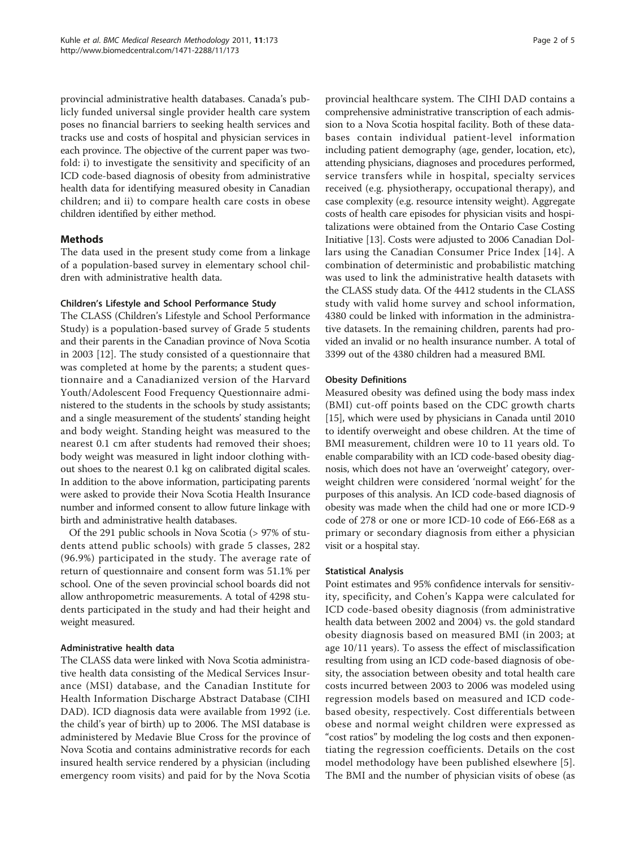provincial administrative health databases. Canada's publicly funded universal single provider health care system poses no financial barriers to seeking health services and tracks use and costs of hospital and physician services in each province. The objective of the current paper was twofold: i) to investigate the sensitivity and specificity of an ICD code-based diagnosis of obesity from administrative health data for identifying measured obesity in Canadian children; and ii) to compare health care costs in obese children identified by either method.

# Methods

The data used in the present study come from a linkage of a population-based survey in elementary school children with administrative health data.

# Children's Lifestyle and School Performance Study

The CLASS (Children's Lifestyle and School Performance Study) is a population-based survey of Grade 5 students and their parents in the Canadian province of Nova Scotia in 2003 [[12](#page-4-0)]. The study consisted of a questionnaire that was completed at home by the parents; a student questionnaire and a Canadianized version of the Harvard Youth/Adolescent Food Frequency Questionnaire administered to the students in the schools by study assistants; and a single measurement of the students' standing height and body weight. Standing height was measured to the nearest 0.1 cm after students had removed their shoes; body weight was measured in light indoor clothing without shoes to the nearest 0.1 kg on calibrated digital scales. In addition to the above information, participating parents were asked to provide their Nova Scotia Health Insurance number and informed consent to allow future linkage with birth and administrative health databases.

Of the 291 public schools in Nova Scotia (> 97% of students attend public schools) with grade 5 classes, 282 (96.9%) participated in the study. The average rate of return of questionnaire and consent form was 51.1% per school. One of the seven provincial school boards did not allow anthropometric measurements. A total of 4298 students participated in the study and had their height and weight measured.

# Administrative health data

The CLASS data were linked with Nova Scotia administrative health data consisting of the Medical Services Insurance (MSI) database, and the Canadian Institute for Health Information Discharge Abstract Database (CIHI DAD). ICD diagnosis data were available from 1992 (i.e. the child's year of birth) up to 2006. The MSI database is administered by Medavie Blue Cross for the province of Nova Scotia and contains administrative records for each insured health service rendered by a physician (including emergency room visits) and paid for by the Nova Scotia provincial healthcare system. The CIHI DAD contains a comprehensive administrative transcription of each admission to a Nova Scotia hospital facility. Both of these databases contain individual patient-level information including patient demography (age, gender, location, etc), attending physicians, diagnoses and procedures performed, service transfers while in hospital, specialty services received (e.g. physiotherapy, occupational therapy), and case complexity (e.g. resource intensity weight). Aggregate costs of health care episodes for physician visits and hospitalizations were obtained from the Ontario Case Costing Initiative [\[13\]](#page-4-0). Costs were adjusted to 2006 Canadian Dollars using the Canadian Consumer Price Index [\[14\]](#page-4-0). A combination of deterministic and probabilistic matching was used to link the administrative health datasets with the CLASS study data. Of the 4412 students in the CLASS study with valid home survey and school information, 4380 could be linked with information in the administrative datasets. In the remaining children, parents had provided an invalid or no health insurance number. A total of 3399 out of the 4380 children had a measured BMI.

#### Obesity Definitions

Measured obesity was defined using the body mass index (BMI) cut-off points based on the CDC growth charts [[15\]](#page-4-0), which were used by physicians in Canada until 2010 to identify overweight and obese children. At the time of BMI measurement, children were 10 to 11 years old. To enable comparability with an ICD code-based obesity diagnosis, which does not have an 'overweight' category, overweight children were considered 'normal weight' for the purposes of this analysis. An ICD code-based diagnosis of obesity was made when the child had one or more ICD-9 code of 278 or one or more ICD-10 code of E66-E68 as a primary or secondary diagnosis from either a physician visit or a hospital stay.

# Statistical Analysis

Point estimates and 95% confidence intervals for sensitivity, specificity, and Cohen's Kappa were calculated for ICD code-based obesity diagnosis (from administrative health data between 2002 and 2004) vs. the gold standard obesity diagnosis based on measured BMI (in 2003; at age 10/11 years). To assess the effect of misclassification resulting from using an ICD code-based diagnosis of obesity, the association between obesity and total health care costs incurred between 2003 to 2006 was modeled using regression models based on measured and ICD codebased obesity, respectively. Cost differentials between obese and normal weight children were expressed as "cost ratios" by modeling the log costs and then exponentiating the regression coefficients. Details on the cost model methodology have been published elsewhere [[5](#page-3-0)]. The BMI and the number of physician visits of obese (as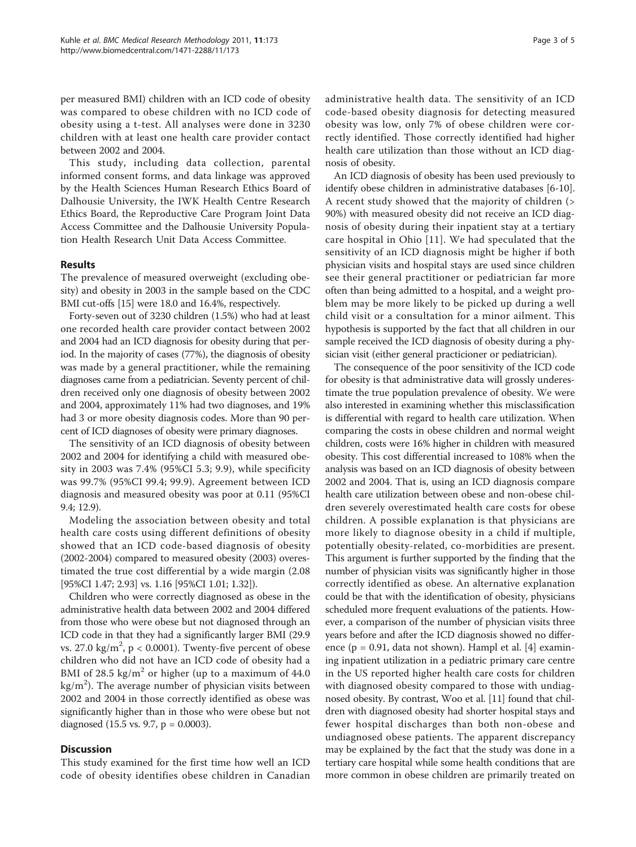per measured BMI) children with an ICD code of obesity was compared to obese children with no ICD code of obesity using a t-test. All analyses were done in 3230 children with at least one health care provider contact between 2002 and 2004.

This study, including data collection, parental informed consent forms, and data linkage was approved by the Health Sciences Human Research Ethics Board of Dalhousie University, the IWK Health Centre Research Ethics Board, the Reproductive Care Program Joint Data Access Committee and the Dalhousie University Population Health Research Unit Data Access Committee.

# **Results**

The prevalence of measured overweight (excluding obesity) and obesity in 2003 in the sample based on the CDC BMI cut-offs [\[15\]](#page-4-0) were 18.0 and 16.4%, respectively.

Forty-seven out of 3230 children (1.5%) who had at least one recorded health care provider contact between 2002 and 2004 had an ICD diagnosis for obesity during that period. In the majority of cases (77%), the diagnosis of obesity was made by a general practitioner, while the remaining diagnoses came from a pediatrician. Seventy percent of children received only one diagnosis of obesity between 2002 and 2004, approximately 11% had two diagnoses, and 19% had 3 or more obesity diagnosis codes. More than 90 percent of ICD diagnoses of obesity were primary diagnoses.

The sensitivity of an ICD diagnosis of obesity between 2002 and 2004 for identifying a child with measured obesity in 2003 was 7.4% (95%CI 5.3; 9.9), while specificity was 99.7% (95%CI 99.4; 99.9). Agreement between ICD diagnosis and measured obesity was poor at 0.11 (95%CI 9.4; 12.9).

Modeling the association between obesity and total health care costs using different definitions of obesity showed that an ICD code-based diagnosis of obesity (2002-2004) compared to measured obesity (2003) overestimated the true cost differential by a wide margin (2.08 [95%CI 1.47; 2.93] vs. 1.16 [95%CI 1.01; 1.32]).

Children who were correctly diagnosed as obese in the administrative health data between 2002 and 2004 differed from those who were obese but not diagnosed through an ICD code in that they had a significantly larger BMI (29.9 vs. 27.0 kg/m<sup>2</sup>,  $p < 0.0001$ ). Twenty-five percent of obese children who did not have an ICD code of obesity had a BMI of 28.5 kg/m<sup>2</sup> or higher (up to a maximum of  $44.0$ ) kg/m<sup>2</sup>). The average number of physician visits between 2002 and 2004 in those correctly identified as obese was significantly higher than in those who were obese but not diagnosed (15.5 vs. 9.7,  $p = 0.0003$ ).

#### **Discussion**

This study examined for the first time how well an ICD code of obesity identifies obese children in Canadian administrative health data. The sensitivity of an ICD code-based obesity diagnosis for detecting measured obesity was low, only 7% of obese children were correctly identified. Those correctly identified had higher health care utilization than those without an ICD diagnosis of obesity.

An ICD diagnosis of obesity has been used previously to identify obese children in administrative databases [\[6](#page-3-0)-[10](#page-4-0)]. A recent study showed that the majority of children (> 90%) with measured obesity did not receive an ICD diagnosis of obesity during their inpatient stay at a tertiary care hospital in Ohio [[11](#page-4-0)]. We had speculated that the sensitivity of an ICD diagnosis might be higher if both physician visits and hospital stays are used since children see their general practitioner or pediatrician far more often than being admitted to a hospital, and a weight problem may be more likely to be picked up during a well child visit or a consultation for a minor ailment. This hypothesis is supported by the fact that all children in our sample received the ICD diagnosis of obesity during a physician visit (either general practicioner or pediatrician).

The consequence of the poor sensitivity of the ICD code for obesity is that administrative data will grossly underestimate the true population prevalence of obesity. We were also interested in examining whether this misclassification is differential with regard to health care utilization. When comparing the costs in obese children and normal weight children, costs were 16% higher in children with measured obesity. This cost differential increased to 108% when the analysis was based on an ICD diagnosis of obesity between 2002 and 2004. That is, using an ICD diagnosis compare health care utilization between obese and non-obese children severely overestimated health care costs for obese children. A possible explanation is that physicians are more likely to diagnose obesity in a child if multiple, potentially obesity-related, co-morbidities are present. This argument is further supported by the finding that the number of physician visits was significantly higher in those correctly identified as obese. An alternative explanation could be that with the identification of obesity, physicians scheduled more frequent evaluations of the patients. However, a comparison of the number of physician visits three years before and after the ICD diagnosis showed no difference (p = 0.91, data not shown). Hampl et al. [[4](#page-3-0)] examining inpatient utilization in a pediatric primary care centre in the US reported higher health care costs for children with diagnosed obesity compared to those with undiagnosed obesity. By contrast, Woo et al. [[11](#page-4-0)] found that children with diagnosed obesity had shorter hospital stays and fewer hospital discharges than both non-obese and undiagnosed obese patients. The apparent discrepancy may be explained by the fact that the study was done in a tertiary care hospital while some health conditions that are more common in obese children are primarily treated on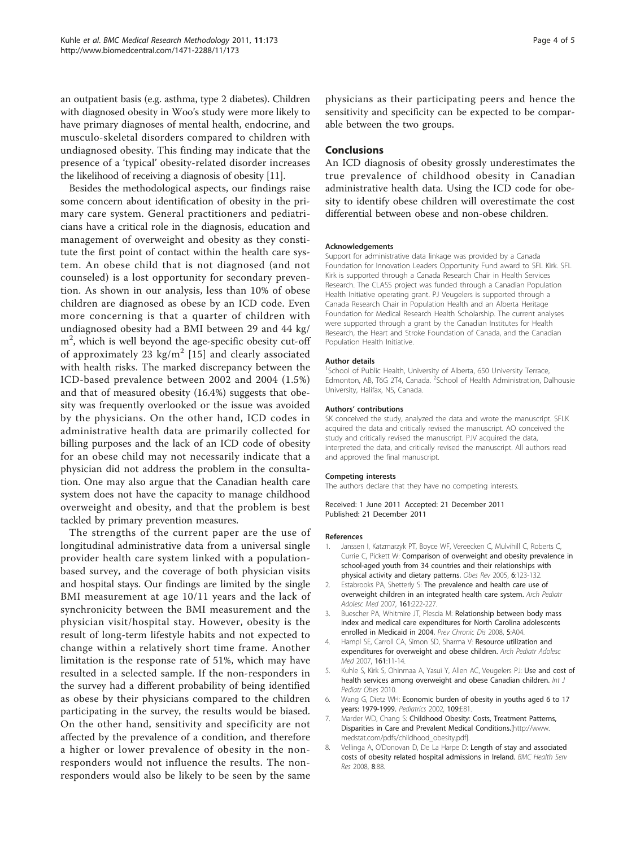<span id="page-3-0"></span>an outpatient basis (e.g. asthma, type 2 diabetes). Children with diagnosed obesity in Woo's study were more likely to have primary diagnoses of mental health, endocrine, and musculo-skeletal disorders compared to children with undiagnosed obesity. This finding may indicate that the presence of a 'typical' obesity-related disorder increases the likelihood of receiving a diagnosis of obesity [[11](#page-4-0)].

Besides the methodological aspects, our findings raise some concern about identification of obesity in the primary care system. General practitioners and pediatricians have a critical role in the diagnosis, education and management of overweight and obesity as they constitute the first point of contact within the health care system. An obese child that is not diagnosed (and not counseled) is a lost opportunity for secondary prevention. As shown in our analysis, less than 10% of obese children are diagnosed as obese by an ICD code. Even more concerning is that a quarter of children with undiagnosed obesity had a BMI between 29 and 44 kg/ m<sup>2</sup>, which is well beyond the age-specific obesity cut-off of approximately 23 kg/m<sup>2</sup> [[15\]](#page-4-0) and clearly associated with health risks. The marked discrepancy between the ICD-based prevalence between 2002 and 2004 (1.5%) and that of measured obesity (16.4%) suggests that obesity was frequently overlooked or the issue was avoided by the physicians. On the other hand, ICD codes in administrative health data are primarily collected for billing purposes and the lack of an ICD code of obesity for an obese child may not necessarily indicate that a physician did not address the problem in the consultation. One may also argue that the Canadian health care system does not have the capacity to manage childhood overweight and obesity, and that the problem is best tackled by primary prevention measures.

The strengths of the current paper are the use of longitudinal administrative data from a universal single provider health care system linked with a populationbased survey, and the coverage of both physician visits and hospital stays. Our findings are limited by the single BMI measurement at age 10/11 years and the lack of synchronicity between the BMI measurement and the physician visit/hospital stay. However, obesity is the result of long-term lifestyle habits and not expected to change within a relatively short time frame. Another limitation is the response rate of 51%, which may have resulted in a selected sample. If the non-responders in the survey had a different probability of being identified as obese by their physicians compared to the children participating in the survey, the results would be biased. On the other hand, sensitivity and specificity are not affected by the prevalence of a condition, and therefore a higher or lower prevalence of obesity in the nonresponders would not influence the results. The nonresponders would also be likely to be seen by the same physicians as their participating peers and hence the sensitivity and specificity can be expected to be comparable between the two groups.

#### Conclusions

An ICD diagnosis of obesity grossly underestimates the true prevalence of childhood obesity in Canadian administrative health data. Using the ICD code for obesity to identify obese children will overestimate the cost differential between obese and non-obese children.

#### Acknowledgements

Support for administrative data linkage was provided by a Canada Foundation for Innovation Leaders Opportunity Fund award to SFL Kirk. SFL Kirk is supported through a Canada Research Chair in Health Services Research. The CLASS project was funded through a Canadian Population Health Initiative operating grant. PJ Veugelers is supported through a Canada Research Chair in Population Health and an Alberta Heritage Foundation for Medical Research Health Scholarship. The current analyses were supported through a grant by the Canadian Institutes for Health Research, the Heart and Stroke Foundation of Canada, and the Canadian Population Health Initiative.

#### Author details

<sup>1</sup>School of Public Health, University of Alberta, 650 University Terrace, Edmonton, AB, T6G 2T4, Canada. <sup>2</sup>School of Health Administration, Dalhousie University, Halifax, NS, Canada.

#### Authors' contributions

SK conceived the study, analyzed the data and wrote the manuscript. SFLK acquired the data and critically revised the manuscript. AO conceived the study and critically revised the manuscript. PJV acquired the data, interpreted the data, and critically revised the manuscript. All authors read and approved the final manuscript.

#### Competing interests

The authors declare that they have no competing interests.

Received: 1 June 2011 Accepted: 21 December 2011 Published: 21 December 2011

#### References

- 1. Janssen I, Katzmarzyk PT, Boyce WF, Vereecken C, Mulvihill C, Roberts C, Currie C, Pickett W: [Comparison of overweight and obesity prevalence in](http://www.ncbi.nlm.nih.gov/pubmed/15836463?dopt=Abstract) [school-aged youth from 34 countries and their relationships with](http://www.ncbi.nlm.nih.gov/pubmed/15836463?dopt=Abstract) [physical activity and dietary patterns.](http://www.ncbi.nlm.nih.gov/pubmed/15836463?dopt=Abstract) Obes Rev 2005, 6:123-132.
- 2. Estabrooks PA, Shetterly S: [The prevalence and health care use of](http://www.ncbi.nlm.nih.gov/pubmed/17339502?dopt=Abstract) [overweight children in an integrated health care system.](http://www.ncbi.nlm.nih.gov/pubmed/17339502?dopt=Abstract) Arch Pediatr Adolesc Med 2007, 161:222-227.
- 3. Buescher PA, Whitmire JT, Plescia M: [Relationship between body mass](http://www.ncbi.nlm.nih.gov/pubmed/18081993?dopt=Abstract) [index and medical care expenditures for North Carolina adolescents](http://www.ncbi.nlm.nih.gov/pubmed/18081993?dopt=Abstract) [enrolled in Medicaid in 2004.](http://www.ncbi.nlm.nih.gov/pubmed/18081993?dopt=Abstract) Prev Chronic Dis 2008, 5:A04.
- 4. Hampl SE, Carroll CA, Simon SD, Sharma V: [Resource utilization and](http://www.ncbi.nlm.nih.gov/pubmed/17199061?dopt=Abstract) [expenditures for overweight and obese children.](http://www.ncbi.nlm.nih.gov/pubmed/17199061?dopt=Abstract) Arch Pediatr Adolesc Med 2007, 161:11-14.
- Kuhle S, Kirk S, Ohinmaa A, Yasui Y, Allen AC, Veugelers PJ: Use and cost of health services among overweight and obese Canadian children. Int J Pediatr Obes 2010.
- 6. Wang G, Dietz WH: [Economic burden of obesity in youths aged 6 to 17](http://www.ncbi.nlm.nih.gov/pubmed/11986487?dopt=Abstract) [years: 1979-1999.](http://www.ncbi.nlm.nih.gov/pubmed/11986487?dopt=Abstract) Pediatrics 2002, 109:E81.
- 7. Marder WD, Chang S: Childhood Obesity: Costs, Treatment Patterns, Disparities in Care and Prevalent Medical Conditions.[[http://www.](http://www.medstat.com/pdfs/childhood_obesity.pdf) [medstat.com/pdfs/childhood\\_obesity.pdf\]](http://www.medstat.com/pdfs/childhood_obesity.pdf).
- 8. Vellinga A, O'Donovan D, De La Harpe D: [Length of stay and associated](http://www.ncbi.nlm.nih.gov/pubmed/18426608?dopt=Abstract) [costs of obesity related hospital admissions in Ireland.](http://www.ncbi.nlm.nih.gov/pubmed/18426608?dopt=Abstract) BMC Health Serv Res 2008, 8:88.